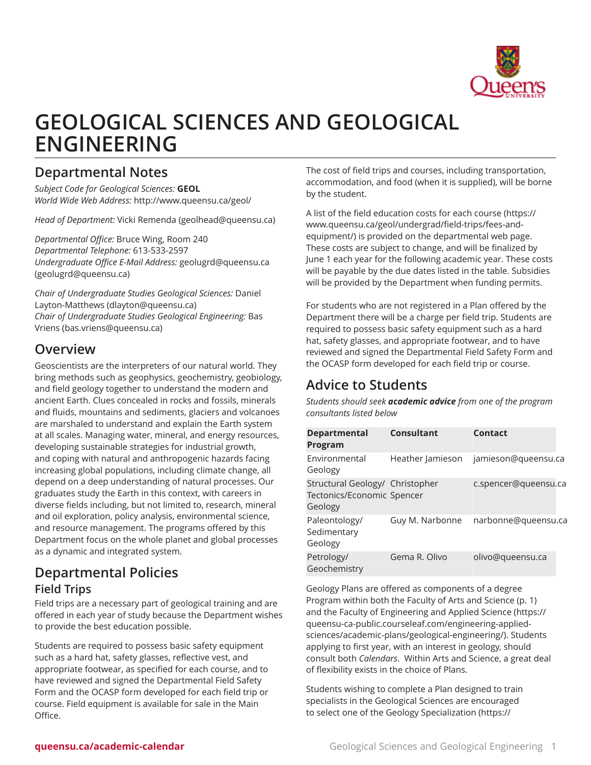

# **GEOLOGICAL SCIENCES AND GEOLOGICAL ENGINEERING**

## <span id="page-0-0"></span>**Departmental Notes**

*Subject Code for Geological Sciences:* **GEOL** *World Wide Web Address:* <http://www.queensu.ca/geol/>

*Head of Department:* [Vicki Remenda](mailto:geolhead@queensu.ca) ([geolhead@queensu.ca\)](geolhead@queensu.ca)

*Departmental Office:* Bruce Wing, Room 240 *Departmental Telephone:* 613-533-2597 *Undergraduate Office E-Mail Address:* [geolugrd@queensu.ca](mailto:geolugrd@queensu.ca) ([geolugrd@queensu.ca\)](geolugrd@queensu.ca)

*Chair of Undergraduate Studies Geological Sciences:* [Daniel](mailto:dlayton@queensu.ca) [Layton-Matthews](mailto:dlayton@queensu.ca) [\(dlayton@queensu.ca](dlayton@queensu.ca)) *Chair of Undergraduate Studies Geological Engineering:* [Bas](mailto:bas.vriens@queensu.ca) [Vriens](mailto:bas.vriens@queensu.ca) [\(bas.vriens@queensu.ca\)](bas.vriens@queensu.ca)

## **Overview**

Geoscientists are the interpreters of our natural world. They bring methods such as geophysics, geochemistry, geobiology, and field geology together to understand the modern and ancient Earth. Clues concealed in rocks and fossils, minerals and fluids, mountains and sediments, glaciers and volcanoes are marshaled to understand and explain the Earth system at all scales. Managing water, mineral, and energy resources, developing sustainable strategies for industrial growth, and coping with natural and anthropogenic hazards facing increasing global populations, including climate change, all depend on a deep understanding of natural processes. Our graduates study the Earth in this context, with careers in diverse fields including, but not limited to, research, mineral and oil exploration, policy analysis, environmental science, and resource management. The programs offered by this Department focus on the whole planet and global processes as a dynamic and integrated system.

## **Departmental Policies Field Trips**

Field trips are a necessary part of geological training and are offered in each year of study because the Department wishes to provide the best education possible.

Students are required to possess basic safety equipment such as a hard hat, safety glasses, reflective vest, and appropriate footwear, as specified for each course, and to have reviewed and signed the Departmental Field Safety Form and the OCASP form developed for each field trip or course. Field equipment is available for sale in the Main Office.

The cost of field trips and courses, including transportation, accommodation, and food (when it is supplied), will be borne by the student.

A list of the [field education costs for each course](https://www.queensu.ca/geol/undergrad/field-trips/fees-and-equipment/) ([https://](https://www.queensu.ca/geol/undergrad/field-trips/fees-and-equipment/) [www.queensu.ca/geol/undergrad/field-trips/fees-and](https://www.queensu.ca/geol/undergrad/field-trips/fees-and-equipment/)[equipment/\)](https://www.queensu.ca/geol/undergrad/field-trips/fees-and-equipment/) is provided on the departmental web page. These costs are subject to change, and will be finalized by June 1 each year for the following academic year. These costs will be payable by the due dates listed in the table. Subsidies will be provided by the Department when funding permits.

For students who are not registered in a Plan offered by the Department there will be a charge per field trip. Students are required to possess basic safety equipment such as a hard hat, safety glasses, and appropriate footwear, and to have reviewed and signed the Departmental Field Safety Form and the OCASP form developed for each field trip or course.

## **Advice to Students**

*Students should seek academic advice from one of the program consultants listed below*

| <b>Departmental</b><br>Program                                           | Consultant       | Contact              |
|--------------------------------------------------------------------------|------------------|----------------------|
| Environmental<br>Geology                                                 | Heather Jamieson | jamieson@queensu.ca  |
| Structural Geology/ Christopher<br>Tectonics/Economic Spencer<br>Geology |                  | c.spencer@queensu.ca |
| Paleontology/<br>Sedimentary<br>Geology                                  | Guy M. Narbonne  | narbonne@queensu.ca  |
| Petrology/<br>Geochemistry                                               | Gema R. Olivo    | olivo@queensu.ca     |

Geology Plans are offered as components of a degree Program within both the [Faculty of Arts and Science](#page-0-0) [\(p. 1\)](#page-0-0) and the [Faculty of Engineering and Applied Science](https://queensu-ca-public.courseleaf.com/engineering-applied-sciences/academic-plans/geological-engineering/) [\(https://](https://queensu-ca-public.courseleaf.com/engineering-applied-sciences/academic-plans/geological-engineering/) [queensu-ca-public.courseleaf.com/engineering-applied](https://queensu-ca-public.courseleaf.com/engineering-applied-sciences/academic-plans/geological-engineering/)[sciences/academic-plans/geological-engineering/\)](https://queensu-ca-public.courseleaf.com/engineering-applied-sciences/academic-plans/geological-engineering/). Students applying to first year, with an interest in geology, should consult both *Calendars*. Within Arts and Science, a great deal of flexibility exists in the choice of Plans.

Students wishing to complete a Plan designed to train specialists in the Geological Sciences are encouraged to select one of the [Geology Specialization](https://queensu-ca-public.courseleaf.com/arts-science/schools-departments-programs/geological-sciences-engineering/geology-specialization-science-bs-honours/) ([https://](https://queensu-ca-public.courseleaf.com/arts-science/schools-departments-programs/geological-sciences-engineering/geology-specialization-science-bs-honours/)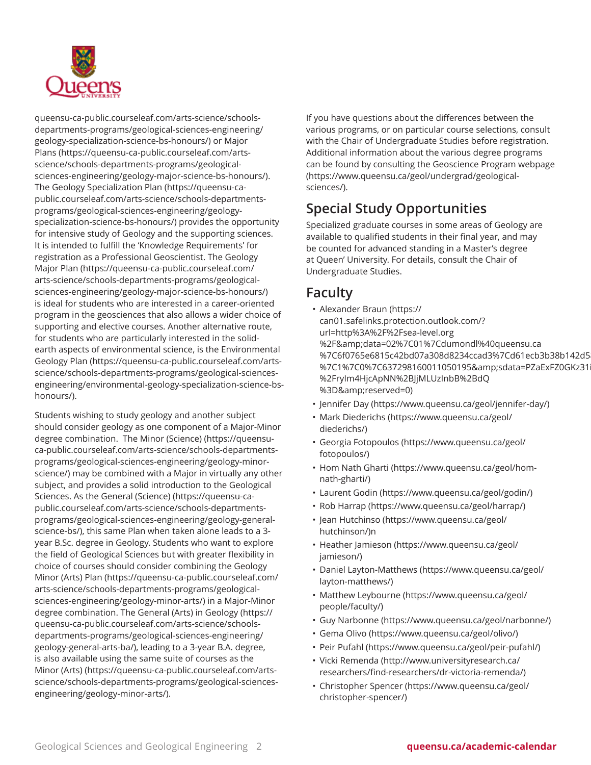

[queensu-ca-public.courseleaf.com/arts-science/schools](https://queensu-ca-public.courseleaf.com/arts-science/schools-departments-programs/geological-sciences-engineering/geology-specialization-science-bs-honours/)[departments-programs/geological-sciences-engineering/](https://queensu-ca-public.courseleaf.com/arts-science/schools-departments-programs/geological-sciences-engineering/geology-specialization-science-bs-honours/) [geology-specialization-science-bs-honours/\)](https://queensu-ca-public.courseleaf.com/arts-science/schools-departments-programs/geological-sciences-engineering/geology-specialization-science-bs-honours/) or [Major](https://queensu-ca-public.courseleaf.com/arts-science/schools-departments-programs/geological-sciences-engineering/geology-major-science-bs-honours/) [Plans](https://queensu-ca-public.courseleaf.com/arts-science/schools-departments-programs/geological-sciences-engineering/geology-major-science-bs-honours/) [\(https://queensu-ca-public.courseleaf.com/arts](https://queensu-ca-public.courseleaf.com/arts-science/schools-departments-programs/geological-sciences-engineering/geology-major-science-bs-honours/)[science/schools-departments-programs/geological](https://queensu-ca-public.courseleaf.com/arts-science/schools-departments-programs/geological-sciences-engineering/geology-major-science-bs-honours/)[sciences-engineering/geology-major-science-bs-honours/](https://queensu-ca-public.courseleaf.com/arts-science/schools-departments-programs/geological-sciences-engineering/geology-major-science-bs-honours/)). The [Geology Specialization Plan](https://queensu-ca-public.courseleaf.com/arts-science/schools-departments-programs/geological-sciences-engineering/geology-specialization-science-bs-honours/) [\(https://queensu-ca](https://queensu-ca-public.courseleaf.com/arts-science/schools-departments-programs/geological-sciences-engineering/geology-specialization-science-bs-honours/)[public.courseleaf.com/arts-science/schools-departments](https://queensu-ca-public.courseleaf.com/arts-science/schools-departments-programs/geological-sciences-engineering/geology-specialization-science-bs-honours/)[programs/geological-sciences-engineering/geology](https://queensu-ca-public.courseleaf.com/arts-science/schools-departments-programs/geological-sciences-engineering/geology-specialization-science-bs-honours/)[specialization-science-bs-honours/](https://queensu-ca-public.courseleaf.com/arts-science/schools-departments-programs/geological-sciences-engineering/geology-specialization-science-bs-honours/)) provides the opportunity for intensive study of Geology and the supporting sciences. It is intended to fulfill the 'Knowledge Requirements' for registration as a Professional Geoscientist. The [Geology](https://queensu-ca-public.courseleaf.com/arts-science/schools-departments-programs/geological-sciences-engineering/geology-major-science-bs-honours/) [Major Plan](https://queensu-ca-public.courseleaf.com/arts-science/schools-departments-programs/geological-sciences-engineering/geology-major-science-bs-honours/) [\(https://queensu-ca-public.courseleaf.com/](https://queensu-ca-public.courseleaf.com/arts-science/schools-departments-programs/geological-sciences-engineering/geology-major-science-bs-honours/) [arts-science/schools-departments-programs/geological](https://queensu-ca-public.courseleaf.com/arts-science/schools-departments-programs/geological-sciences-engineering/geology-major-science-bs-honours/)[sciences-engineering/geology-major-science-bs-honours/](https://queensu-ca-public.courseleaf.com/arts-science/schools-departments-programs/geological-sciences-engineering/geology-major-science-bs-honours/)) is ideal for students who are interested in a career-oriented program in the geosciences that also allows a wider choice of supporting and elective courses. Another alternative route, for students who are particularly interested in the solidearth aspects of environmental science, is the [Environmental](https://queensu-ca-public.courseleaf.com/arts-science/schools-departments-programs/geological-sciences-engineering/environmental-geology-specialization-science-bs-honours/) [Geology Plan](https://queensu-ca-public.courseleaf.com/arts-science/schools-departments-programs/geological-sciences-engineering/environmental-geology-specialization-science-bs-honours/) ([https://queensu-ca-public.courseleaf.com/arts](https://queensu-ca-public.courseleaf.com/arts-science/schools-departments-programs/geological-sciences-engineering/environmental-geology-specialization-science-bs-honours/)[science/schools-departments-programs/geological-sciences](https://queensu-ca-public.courseleaf.com/arts-science/schools-departments-programs/geological-sciences-engineering/environmental-geology-specialization-science-bs-honours/)[engineering/environmental-geology-specialization-science-bs](https://queensu-ca-public.courseleaf.com/arts-science/schools-departments-programs/geological-sciences-engineering/environmental-geology-specialization-science-bs-honours/)[honours/\)](https://queensu-ca-public.courseleaf.com/arts-science/schools-departments-programs/geological-sciences-engineering/environmental-geology-specialization-science-bs-honours/).

Students wishing to study geology and another subject should consider geology as one component of a Major-Minor degree combination. The [Minor \(Science\)](https://queensu-ca-public.courseleaf.com/arts-science/schools-departments-programs/geological-sciences-engineering/geology-minor-science/) [\(https://queensu](https://queensu-ca-public.courseleaf.com/arts-science/schools-departments-programs/geological-sciences-engineering/geology-minor-science/)[ca-public.courseleaf.com/arts-science/schools-departments](https://queensu-ca-public.courseleaf.com/arts-science/schools-departments-programs/geological-sciences-engineering/geology-minor-science/)[programs/geological-sciences-engineering/geology-minor](https://queensu-ca-public.courseleaf.com/arts-science/schools-departments-programs/geological-sciences-engineering/geology-minor-science/)[science/](https://queensu-ca-public.courseleaf.com/arts-science/schools-departments-programs/geological-sciences-engineering/geology-minor-science/)) may be combined with a Major in virtually any other subject, and provides a solid introduction to the Geological Sciences. As the General [\(Science\)](https://queensu-ca-public.courseleaf.com/arts-science/schools-departments-programs/geological-sciences-engineering/geology-general-science-bs/) ([https://queensu-ca](https://queensu-ca-public.courseleaf.com/arts-science/schools-departments-programs/geological-sciences-engineering/geology-general-science-bs/)[public.courseleaf.com/arts-science/schools-departments](https://queensu-ca-public.courseleaf.com/arts-science/schools-departments-programs/geological-sciences-engineering/geology-general-science-bs/)[programs/geological-sciences-engineering/geology-general](https://queensu-ca-public.courseleaf.com/arts-science/schools-departments-programs/geological-sciences-engineering/geology-general-science-bs/)[science-bs/\)](https://queensu-ca-public.courseleaf.com/arts-science/schools-departments-programs/geological-sciences-engineering/geology-general-science-bs/), this same Plan when taken alone leads to a 3 year B.Sc. degree in Geology. Students who want to explore the field of Geological Sciences but with greater flexibility in choice of courses should consider combining the [Geology](https://queensu-ca-public.courseleaf.com/arts-science/schools-departments-programs/geological-sciences-engineering/geology-minor-arts/) [Minor \(Arts\) Plan](https://queensu-ca-public.courseleaf.com/arts-science/schools-departments-programs/geological-sciences-engineering/geology-minor-arts/) [\(https://queensu-ca-public.courseleaf.com/](https://queensu-ca-public.courseleaf.com/arts-science/schools-departments-programs/geological-sciences-engineering/geology-minor-arts/) [arts-science/schools-departments-programs/geological](https://queensu-ca-public.courseleaf.com/arts-science/schools-departments-programs/geological-sciences-engineering/geology-minor-arts/)[sciences-engineering/geology-minor-arts/](https://queensu-ca-public.courseleaf.com/arts-science/schools-departments-programs/geological-sciences-engineering/geology-minor-arts/)) in a Major-Minor degree combination. The General (Arts) in [Geology](https://queensu-ca-public.courseleaf.com/arts-science/schools-departments-programs/geological-sciences-engineering/geology-general-arts-ba/) ([https://](https://queensu-ca-public.courseleaf.com/arts-science/schools-departments-programs/geological-sciences-engineering/geology-general-arts-ba/) [queensu-ca-public.courseleaf.com/arts-science/schools](https://queensu-ca-public.courseleaf.com/arts-science/schools-departments-programs/geological-sciences-engineering/geology-general-arts-ba/)[departments-programs/geological-sciences-engineering/](https://queensu-ca-public.courseleaf.com/arts-science/schools-departments-programs/geological-sciences-engineering/geology-general-arts-ba/) [geology-general-arts-ba/](https://queensu-ca-public.courseleaf.com/arts-science/schools-departments-programs/geological-sciences-engineering/geology-general-arts-ba/)), leading to a 3-year B.A. degree, is also available using the same suite of courses as the [Minor \(Arts\)](https://queensu-ca-public.courseleaf.com/arts-science/schools-departments-programs/geological-sciences-engineering/geology-minor-arts/) [\(https://queensu-ca-public.courseleaf.com/arts](https://queensu-ca-public.courseleaf.com/arts-science/schools-departments-programs/geological-sciences-engineering/geology-minor-arts/)[science/schools-departments-programs/geological-sciences](https://queensu-ca-public.courseleaf.com/arts-science/schools-departments-programs/geological-sciences-engineering/geology-minor-arts/)[engineering/geology-minor-arts/](https://queensu-ca-public.courseleaf.com/arts-science/schools-departments-programs/geological-sciences-engineering/geology-minor-arts/)).

If you have questions about the differences between the various programs, or on particular course selections, consult with the Chair of Undergraduate Studies before registration. Additional information about the various degree programs can be found by consulting the [Geoscience](https://www.queensu.ca/geol/undergrad/geological-sciences/) Program webpage ([https://www.queensu.ca/geol/undergrad/geological](https://www.queensu.ca/geol/undergrad/geological-sciences/)[sciences/\)](https://www.queensu.ca/geol/undergrad/geological-sciences/).

## **Special Study Opportunities**

Specialized graduate courses in some areas of Geology are available to qualified students in their final year, and may be counted for advanced standing in a Master's degree at Queen' University. For details, consult the Chair of Undergraduate Studies.

## **Faculty**

- [Alexander](https://can01.safelinks.protection.outlook.com/?url=http%3A%2F%2Fsea-level.org%2F&data=02%7C01%7Cdumondl%40queensu.ca%7C6f0765e6815c42bd07a308d8234ccad3%7Cd61ecb3b38b142d582c4efb2838b925c%7C1%7C0%7C637298160011050195&sdata=PZaExFZ0GKz31iAL%2FryIm4HjcApNN%2BJjMLUzInbB%2BdQ%3D&reserved=0) Braun [\(https://](https://can01.safelinks.protection.outlook.com/?url=http%3A%2F%2Fsea-level.org%2F&data=02%7C01%7Cdumondl%40queensu.ca%7C6f0765e6815c42bd07a308d8234ccad3%7Cd61ecb3b38b142d582c4efb2838b925c%7C1%7C0%7C637298160011050195&sdata=PZaExFZ0GKz31iAL%2FryIm4HjcApNN%2BJjMLUzInbB%2BdQ%3D&reserved=0) [can01.safelinks.protection.outlook.com/?](https://can01.safelinks.protection.outlook.com/?url=http%3A%2F%2Fsea-level.org%2F&data=02%7C01%7Cdumondl%40queensu.ca%7C6f0765e6815c42bd07a308d8234ccad3%7Cd61ecb3b38b142d582c4efb2838b925c%7C1%7C0%7C637298160011050195&sdata=PZaExFZ0GKz31iAL%2FryIm4HjcApNN%2BJjMLUzInbB%2BdQ%3D&reserved=0) [url=http%3A%2F%2Fsea-level.org](https://can01.safelinks.protection.outlook.com/?url=http%3A%2F%2Fsea-level.org%2F&data=02%7C01%7Cdumondl%40queensu.ca%7C6f0765e6815c42bd07a308d8234ccad3%7Cd61ecb3b38b142d582c4efb2838b925c%7C1%7C0%7C637298160011050195&sdata=PZaExFZ0GKz31iAL%2FryIm4HjcApNN%2BJjMLUzInbB%2BdQ%3D&reserved=0) [%2F&data=02%7C01%7Cdumondl%40queensu.ca](https://can01.safelinks.protection.outlook.com/?url=http%3A%2F%2Fsea-level.org%2F&data=02%7C01%7Cdumondl%40queensu.ca%7C6f0765e6815c42bd07a308d8234ccad3%7Cd61ecb3b38b142d582c4efb2838b925c%7C1%7C0%7C637298160011050195&sdata=PZaExFZ0GKz31iAL%2FryIm4HjcApNN%2BJjMLUzInbB%2BdQ%3D&reserved=0) %7C6f0765e6815c42bd07a308d8234ccad3%7Cd61ecb3b38b142d5 %7C1%7C0%7C637298160011050195&sdata=PZaExFZ0GKz31 [%2FryIm4HjcApNN%2BJjMLUzInbB%2BdQ](https://can01.safelinks.protection.outlook.com/?url=http%3A%2F%2Fsea-level.org%2F&data=02%7C01%7Cdumondl%40queensu.ca%7C6f0765e6815c42bd07a308d8234ccad3%7Cd61ecb3b38b142d582c4efb2838b925c%7C1%7C0%7C637298160011050195&sdata=PZaExFZ0GKz31iAL%2FryIm4HjcApNN%2BJjMLUzInbB%2BdQ%3D&reserved=0) [%3D&reserved=0](https://can01.safelinks.protection.outlook.com/?url=http%3A%2F%2Fsea-level.org%2F&data=02%7C01%7Cdumondl%40queensu.ca%7C6f0765e6815c42bd07a308d8234ccad3%7Cd61ecb3b38b142d582c4efb2838b925c%7C1%7C0%7C637298160011050195&sdata=PZaExFZ0GKz31iAL%2FryIm4HjcApNN%2BJjMLUzInbB%2BdQ%3D&reserved=0))
- [Jennifer Day](https://www.queensu.ca/geol/jennifer-day/) [\(https://www.queensu.ca/geol/jennifer-day/\)](https://www.queensu.ca/geol/jennifer-day/)
- [Mark Diederichs](https://www.queensu.ca/geol/diederichs/) ([https://www.queensu.ca/geol/](https://www.queensu.ca/geol/diederichs/) [diederichs/\)](https://www.queensu.ca/geol/diederichs/)
- Georgia [Fotopoulos](https://www.queensu.ca/geol/fotopoulos/) ([https://www.queensu.ca/geol/](https://www.queensu.ca/geol/fotopoulos/) [fotopoulos/](https://www.queensu.ca/geol/fotopoulos/))
- [Hom Nath Gharti](https://www.queensu.ca/geol/hom-nath-gharti/) [\(https://www.queensu.ca/geol/hom](https://www.queensu.ca/geol/hom-nath-gharti/)[nath-gharti/](https://www.queensu.ca/geol/hom-nath-gharti/))
- [Laurent](https://www.queensu.ca/geol/godin/) Godin [\(https://www.queensu.ca/geol/godin/](https://www.queensu.ca/geol/godin/))
- Rob [Harrap](https://www.queensu.ca/geol/harrap/) [\(https://www.queensu.ca/geol/harrap/\)](https://www.queensu.ca/geol/harrap/)
- [Jean Hutchinso](https://www.queensu.ca/geol/hutchinson/) [\(https://www.queensu.ca/geol/](https://www.queensu.ca/geol/hutchinson/) [hutchinson/\)](https://www.queensu.ca/geol/hutchinson/)n
- [Heather Jamieson](https://www.queensu.ca/geol/jamieson/) [\(https://www.queensu.ca/geol/](https://www.queensu.ca/geol/jamieson/) [jamieson/\)](https://www.queensu.ca/geol/jamieson/)
- Daniel [Layton-Matthews](https://www.queensu.ca/geol/layton-matthews/) ([https://www.queensu.ca/geol/](https://www.queensu.ca/geol/layton-matthews/) [layton-matthews/\)](https://www.queensu.ca/geol/layton-matthews/)
- Matthew [Leybourne](https://www.queensu.ca/geol/people/faculty/) [\(https://www.queensu.ca/geol/](https://www.queensu.ca/geol/people/faculty/) [people/faculty/](https://www.queensu.ca/geol/people/faculty/))
- [Guy Narbonne](https://www.queensu.ca/geol/narbonne/) (<https://www.queensu.ca/geol/narbonne/>)
- [Gema Olivo](https://www.queensu.ca/geol/olivo/) [\(https://www.queensu.ca/geol/olivo/](https://www.queensu.ca/geol/olivo/))
- [Peir Pufahl](https://www.queensu.ca/geol/peir-pufahl/) (<https://www.queensu.ca/geol/peir-pufahl/>)
- [Vicki Remenda](http://www.universityresearch.ca/researchers/find-researchers/dr-victoria-remenda/) ([http://www.universityresearch.ca/](http://www.universityresearch.ca/researchers/find-researchers/dr-victoria-remenda/) [researchers/find-researchers/dr-victoria-remenda/](http://www.universityresearch.ca/researchers/find-researchers/dr-victoria-remenda/))
- [Christopher Spencer](https://www.queensu.ca/geol/christopher-spencer/) [\(https://www.queensu.ca/geol/](https://www.queensu.ca/geol/christopher-spencer/) [christopher-spencer/](https://www.queensu.ca/geol/christopher-spencer/))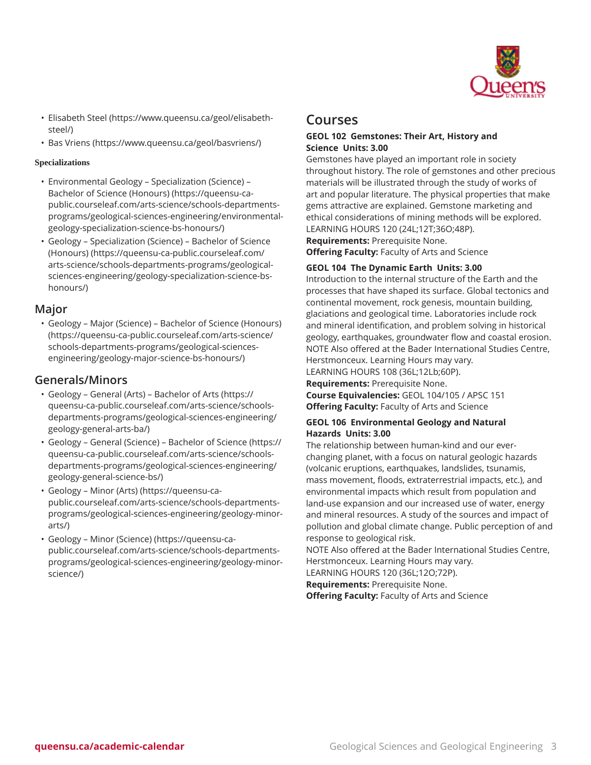

- [Elisabeth Steel](https://www.queensu.ca/geol/elisabeth-steel/) ([https://www.queensu.ca/geol/elisabeth](https://www.queensu.ca/geol/elisabeth-steel/)[steel/](https://www.queensu.ca/geol/elisabeth-steel/))
- Bas [Vriens](https://www.queensu.ca/geol/basvriens/) (<https://www.queensu.ca/geol/basvriens/>)

## **Specializations**

- [Environmental](https://queensu-ca-public.courseleaf.com/arts-science/schools-departments-programs/geological-sciences-engineering/environmental-geology-specialization-science-bs-honours/) Geology Specialization (Science) [Bachelor of Science \(Honours\)](https://queensu-ca-public.courseleaf.com/arts-science/schools-departments-programs/geological-sciences-engineering/environmental-geology-specialization-science-bs-honours/) ([https://queensu-ca](https://queensu-ca-public.courseleaf.com/arts-science/schools-departments-programs/geological-sciences-engineering/environmental-geology-specialization-science-bs-honours/)[public.courseleaf.com/arts-science/schools-departments](https://queensu-ca-public.courseleaf.com/arts-science/schools-departments-programs/geological-sciences-engineering/environmental-geology-specialization-science-bs-honours/)[programs/geological-sciences-engineering/environmental](https://queensu-ca-public.courseleaf.com/arts-science/schools-departments-programs/geological-sciences-engineering/environmental-geology-specialization-science-bs-honours/)[geology-specialization-science-bs-honours/\)](https://queensu-ca-public.courseleaf.com/arts-science/schools-departments-programs/geological-sciences-engineering/environmental-geology-specialization-science-bs-honours/)
- [Geology Specialization \(Science\) Bachelor of Science](https://queensu-ca-public.courseleaf.com/arts-science/schools-departments-programs/geological-sciences-engineering/geology-specialization-science-bs-honours/) [\(Honours\)](https://queensu-ca-public.courseleaf.com/arts-science/schools-departments-programs/geological-sciences-engineering/geology-specialization-science-bs-honours/) ([https://queensu-ca-public.courseleaf.com/](https://queensu-ca-public.courseleaf.com/arts-science/schools-departments-programs/geological-sciences-engineering/geology-specialization-science-bs-honours/) [arts-science/schools-departments-programs/geological](https://queensu-ca-public.courseleaf.com/arts-science/schools-departments-programs/geological-sciences-engineering/geology-specialization-science-bs-honours/)[sciences-engineering/geology-specialization-science-bs](https://queensu-ca-public.courseleaf.com/arts-science/schools-departments-programs/geological-sciences-engineering/geology-specialization-science-bs-honours/)[honours/\)](https://queensu-ca-public.courseleaf.com/arts-science/schools-departments-programs/geological-sciences-engineering/geology-specialization-science-bs-honours/)

## **Major**

• [Geology – Major \(Science\) – Bachelor of Science \(Honours\)](https://queensu-ca-public.courseleaf.com/arts-science/schools-departments-programs/geological-sciences-engineering/geology-major-science-bs-honours/) ([https://queensu-ca-public.courseleaf.com/arts-science/](https://queensu-ca-public.courseleaf.com/arts-science/schools-departments-programs/geological-sciences-engineering/geology-major-science-bs-honours/) [schools-departments-programs/geological-sciences](https://queensu-ca-public.courseleaf.com/arts-science/schools-departments-programs/geological-sciences-engineering/geology-major-science-bs-honours/)[engineering/geology-major-science-bs-honours/](https://queensu-ca-public.courseleaf.com/arts-science/schools-departments-programs/geological-sciences-engineering/geology-major-science-bs-honours/))

## **Generals/Minors**

- Geology General (Arts) [Bachelor](https://queensu-ca-public.courseleaf.com/arts-science/schools-departments-programs/geological-sciences-engineering/geology-general-arts-ba/) of Arts ([https://](https://queensu-ca-public.courseleaf.com/arts-science/schools-departments-programs/geological-sciences-engineering/geology-general-arts-ba/) [queensu-ca-public.courseleaf.com/arts-science/schools](https://queensu-ca-public.courseleaf.com/arts-science/schools-departments-programs/geological-sciences-engineering/geology-general-arts-ba/)[departments-programs/geological-sciences-engineering/](https://queensu-ca-public.courseleaf.com/arts-science/schools-departments-programs/geological-sciences-engineering/geology-general-arts-ba/) [geology-general-arts-ba/](https://queensu-ca-public.courseleaf.com/arts-science/schools-departments-programs/geological-sciences-engineering/geology-general-arts-ba/))
- Geology General (Science) [Bachelor](https://queensu-ca-public.courseleaf.com/arts-science/schools-departments-programs/geological-sciences-engineering/geology-general-science-bs/) of Science [\(https://](https://queensu-ca-public.courseleaf.com/arts-science/schools-departments-programs/geological-sciences-engineering/geology-general-science-bs/) [queensu-ca-public.courseleaf.com/arts-science/schools](https://queensu-ca-public.courseleaf.com/arts-science/schools-departments-programs/geological-sciences-engineering/geology-general-science-bs/)[departments-programs/geological-sciences-engineering/](https://queensu-ca-public.courseleaf.com/arts-science/schools-departments-programs/geological-sciences-engineering/geology-general-science-bs/) [geology-general-science-bs/](https://queensu-ca-public.courseleaf.com/arts-science/schools-departments-programs/geological-sciences-engineering/geology-general-science-bs/))
- [Geology Minor \(Arts\)](https://queensu-ca-public.courseleaf.com/arts-science/schools-departments-programs/geological-sciences-engineering/geology-minor-arts/) ([https://queensu-ca](https://queensu-ca-public.courseleaf.com/arts-science/schools-departments-programs/geological-sciences-engineering/geology-minor-arts/)[public.courseleaf.com/arts-science/schools-departments](https://queensu-ca-public.courseleaf.com/arts-science/schools-departments-programs/geological-sciences-engineering/geology-minor-arts/)[programs/geological-sciences-engineering/geology-minor](https://queensu-ca-public.courseleaf.com/arts-science/schools-departments-programs/geological-sciences-engineering/geology-minor-arts/)[arts/](https://queensu-ca-public.courseleaf.com/arts-science/schools-departments-programs/geological-sciences-engineering/geology-minor-arts/))
- [Geology Minor \(Science\)](https://queensu-ca-public.courseleaf.com/arts-science/schools-departments-programs/geological-sciences-engineering/geology-minor-science/) [\(https://queensu-ca](https://queensu-ca-public.courseleaf.com/arts-science/schools-departments-programs/geological-sciences-engineering/geology-minor-science/)[public.courseleaf.com/arts-science/schools-departments](https://queensu-ca-public.courseleaf.com/arts-science/schools-departments-programs/geological-sciences-engineering/geology-minor-science/)[programs/geological-sciences-engineering/geology-minor](https://queensu-ca-public.courseleaf.com/arts-science/schools-departments-programs/geological-sciences-engineering/geology-minor-science/)[science/](https://queensu-ca-public.courseleaf.com/arts-science/schools-departments-programs/geological-sciences-engineering/geology-minor-science/))

## **Courses**

## **GEOL 102 Gemstones: Their Art, History and Science Units: 3.00**

Gemstones have played an important role in society throughout history. The role of gemstones and other precious materials will be illustrated through the study of works of art and popular literature. The physical properties that make gems attractive are explained. Gemstone marketing and ethical considerations of mining methods will be explored. LEARNING HOURS 120 (24L;12T;36O;48P).

**Requirements:** Prerequisite None. **Offering Faculty:** Faculty of Arts and Science

## **GEOL 104 The Dynamic Earth Units: 3.00**

Introduction to the internal structure of the Earth and the processes that have shaped its surface. Global tectonics and continental movement, rock genesis, mountain building, glaciations and geological time. Laboratories include rock and mineral identification, and problem solving in historical geology, earthquakes, groundwater flow and coastal erosion. NOTE Also offered at the Bader International Studies Centre, Herstmonceux. Learning Hours may vary.

LEARNING HOURS 108 (36L;12Lb;60P).

**Requirements:** Prerequisite None.

**Course Equivalencies:** GEOL 104/105 / APSC 151 **Offering Faculty:** Faculty of Arts and Science

## **GEOL 106 Environmental Geology and Natural Hazards Units: 3.00**

The relationship between human-kind and our everchanging planet, with a focus on natural geologic hazards (volcanic eruptions, earthquakes, landslides, tsunamis, mass movement, floods, extraterrestrial impacts, etc.), and environmental impacts which result from population and land-use expansion and our increased use of water, energy and mineral resources. A study of the sources and impact of pollution and global climate change. Public perception of and response to geological risk.

NOTE Also offered at the Bader International Studies Centre, Herstmonceux. Learning Hours may vary.

LEARNING HOURS 120 (36L;12O;72P).

**Requirements:** Prerequisite None.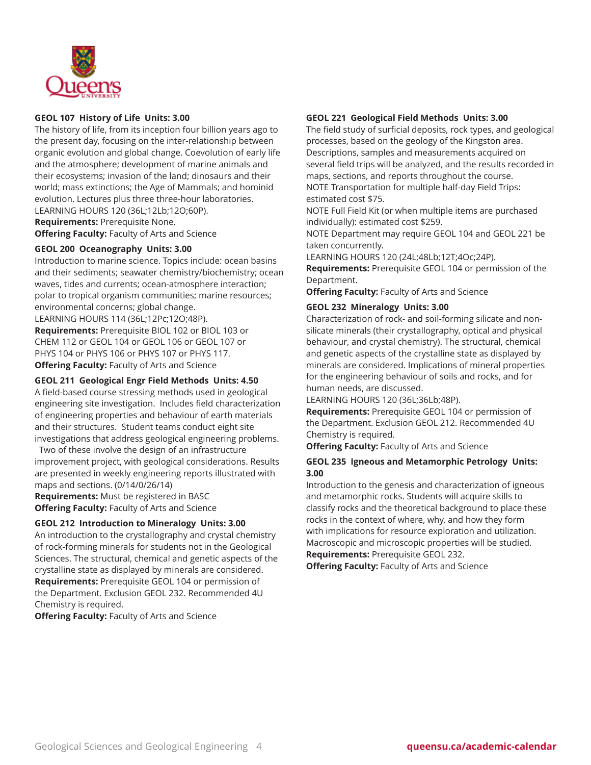

## **GEOL 107 History of Life Units: 3.00**

The history of life, from its inception four billion years ago to the present day, focusing on the inter-relationship between organic evolution and global change. Coevolution of early life and the atmosphere; development of marine animals and their ecosystems; invasion of the land; dinosaurs and their world; mass extinctions; the Age of Mammals; and hominid evolution. Lectures plus three three-hour laboratories. LEARNING HOURS 120 (36L;12Lb;12O;60P).

**Requirements:** Prerequisite None.

**Offering Faculty:** Faculty of Arts and Science

## **GEOL 200 Oceanography Units: 3.00**

Introduction to marine science. Topics include: ocean basins and their sediments; seawater chemistry/biochemistry; ocean waves, tides and currents; ocean-atmosphere interaction; polar to tropical organism communities; marine resources; environmental concerns; global change.

LEARNING HOURS 114 (36L;12Pc;12O;48P). **Requirements:** Prerequisite BIOL 102 or BIOL 103 or

CHEM 112 or GEOL 104 or GEOL 106 or GEOL 107 or PHYS 104 or PHYS 106 or PHYS 107 or PHYS 117. **Offering Faculty:** Faculty of Arts and Science

#### **GEOL 211 Geological Engr Field Methods Units: 4.50**

A field-based course stressing methods used in geological engineering site investigation. Includes field characterization of engineering properties and behaviour of earth materials and their structures. Student teams conduct eight site investigations that address geological engineering problems.

Two of these involve the design of an infrastructure improvement project, with geological considerations. Results are presented in weekly engineering reports illustrated with maps and sections. (0/14/0/26/14)

**Requirements:** Must be registered in BASC **Offering Faculty:** Faculty of Arts and Science

## **GEOL 212 Introduction to Mineralogy Units: 3.00**

An introduction to the crystallography and crystal chemistry of rock-forming minerals for students not in the Geological Sciences. The structural, chemical and genetic aspects of the crystalline state as displayed by minerals are considered. **Requirements:** Prerequisite GEOL 104 or permission of the Department. Exclusion GEOL 232. Recommended 4U Chemistry is required.

**Offering Faculty:** Faculty of Arts and Science

## **GEOL 221 Geological Field Methods Units: 3.00**

The field study of surficial deposits, rock types, and geological processes, based on the geology of the Kingston area. Descriptions, samples and measurements acquired on several field trips will be analyzed, and the results recorded in maps, sections, and reports throughout the course. NOTE Transportation for multiple half-day Field Trips: estimated cost \$75.

NOTE Full Field Kit (or when multiple items are purchased individually): estimated cost \$259.

NOTE Department may require GEOL 104 and GEOL 221 be taken concurrently.

LEARNING HOURS 120 (24L;48Lb;12T;4Oc;24P).

**Requirements:** Prerequisite GEOL 104 or permission of the Department.

**Offering Faculty:** Faculty of Arts and Science

## **GEOL 232 Mineralogy Units: 3.00**

Characterization of rock- and soil-forming silicate and nonsilicate minerals (their crystallography, optical and physical behaviour, and crystal chemistry). The structural, chemical and genetic aspects of the crystalline state as displayed by minerals are considered. Implications of mineral properties for the engineering behaviour of soils and rocks, and for human needs, are discussed.

LEARNING HOURS 120 (36L;36Lb;48P).

**Requirements:** Prerequisite GEOL 104 or permission of the Department. Exclusion GEOL 212. Recommended 4U Chemistry is required.

**Offering Faculty:** Faculty of Arts and Science

## **GEOL 235 Igneous and Metamorphic Petrology Units: 3.00**

Introduction to the genesis and characterization of igneous and metamorphic rocks. Students will acquire skills to classify rocks and the theoretical background to place these rocks in the context of where, why, and how they form with implications for resource exploration and utilization. Macroscopic and microscopic properties will be studied. **Requirements:** Prerequisite GEOL 232.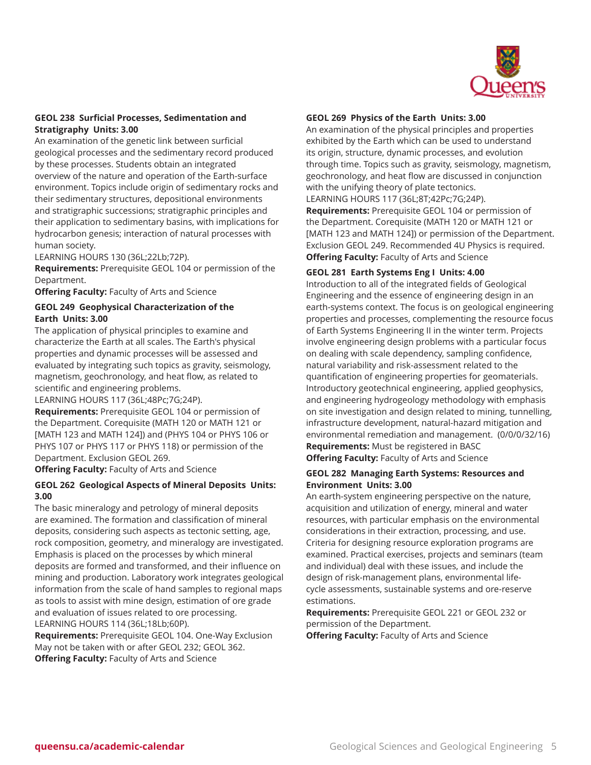

## **GEOL 238 Surficial Processes, Sedimentation and Stratigraphy Units: 3.00**

An examination of the genetic link between surficial geological processes and the sedimentary record produced by these processes. Students obtain an integrated overview of the nature and operation of the Earth-surface environment. Topics include origin of sedimentary rocks and their sedimentary structures, depositional environments and stratigraphic successions; stratigraphic principles and their application to sedimentary basins, with implications for hydrocarbon genesis; interaction of natural processes with human society.

LEARNING HOURS 130 (36L;22Lb;72P).

**Requirements:** Prerequisite GEOL 104 or permission of the Department.

**Offering Faculty:** Faculty of Arts and Science

## **GEOL 249 Geophysical Characterization of the Earth Units: 3.00**

The application of physical principles to examine and characterize the Earth at all scales. The Earth's physical properties and dynamic processes will be assessed and evaluated by integrating such topics as gravity, seismology, magnetism, geochronology, and heat flow, as related to scientific and engineering problems.

LEARNING HOURS 117 (36L;48Pc;7G;24P).

**Requirements:** Prerequisite GEOL 104 or permission of the Department. Corequisite (MATH 120 or MATH 121 or [MATH 123 and MATH 124]) and (PHYS 104 or PHYS 106 or PHYS 107 or PHYS 117 or PHYS 118) or permission of the Department. Exclusion GEOL 269.

**Offering Faculty:** Faculty of Arts and Science

## **GEOL 262 Geological Aspects of Mineral Deposits Units: 3.00**

The basic mineralogy and petrology of mineral deposits are examined. The formation and classification of mineral deposits, considering such aspects as tectonic setting, age, rock composition, geometry, and mineralogy are investigated. Emphasis is placed on the processes by which mineral deposits are formed and transformed, and their influence on mining and production. Laboratory work integrates geological information from the scale of hand samples to regional maps as tools to assist with mine design, estimation of ore grade and evaluation of issues related to ore processing. LEARNING HOURS 114 (36L;18Lb;60P).

**Requirements:** Prerequisite GEOL 104. One-Way Exclusion May not be taken with or after GEOL 232; GEOL 362. **Offering Faculty:** Faculty of Arts and Science

## **GEOL 269 Physics of the Earth Units: 3.00**

An examination of the physical principles and properties exhibited by the Earth which can be used to understand its origin, structure, dynamic processes, and evolution through time. Topics such as gravity, seismology, magnetism, geochronology, and heat flow are discussed in conjunction with the unifying theory of plate tectonics.

LEARNING HOURS 117 (36L;8T;42Pc;7G;24P).

**Requirements:** Prerequisite GEOL 104 or permission of the Department. Corequisite (MATH 120 or MATH 121 or [MATH 123 and MATH 124]) or permission of the Department. Exclusion GEOL 249. Recommended 4U Physics is required. **Offering Faculty:** Faculty of Arts and Science

## **GEOL 281 Earth Systems Eng I Units: 4.00**

Introduction to all of the integrated fields of Geological Engineering and the essence of engineering design in an earth-systems context. The focus is on geological engineering properties and processes, complementing the resource focus of Earth Systems Engineering II in the winter term. Projects involve engineering design problems with a particular focus on dealing with scale dependency, sampling confidence, natural variability and risk-assessment related to the quantification of engineering properties for geomaterials. Introductory geotechnical engineering, applied geophysics, and engineering hydrogeology methodology with emphasis on site investigation and design related to mining, tunnelling, infrastructure development, natural-hazard mitigation and environmental remediation and management. (0/0/0/32/16) **Requirements:** Must be registered in BASC **Offering Faculty:** Faculty of Arts and Science

## **GEOL 282 Managing Earth Systems: Resources and Environment Units: 3.00**

An earth-system engineering perspective on the nature, acquisition and utilization of energy, mineral and water resources, with particular emphasis on the environmental considerations in their extraction, processing, and use. Criteria for designing resource exploration programs are examined. Practical exercises, projects and seminars (team and individual) deal with these issues, and include the design of risk-management plans, environmental lifecycle assessments, sustainable systems and ore-reserve estimations.

**Requirements:** Prerequisite GEOL 221 or GEOL 232 or permission of the Department.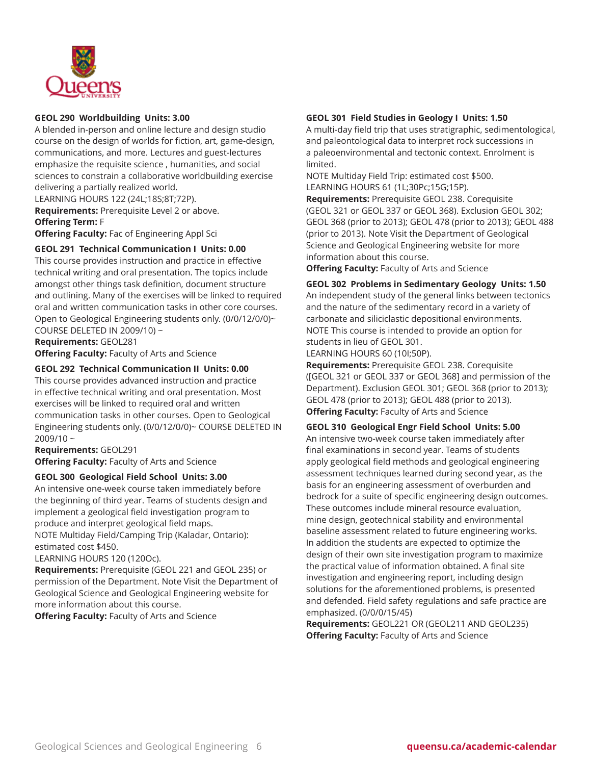

#### **GEOL 290 Worldbuilding Units: 3.00**

A blended in-person and online lecture and design studio course on the design of worlds for fiction, art, game-design, communications, and more. Lectures and guest-lectures emphasize the requisite science , humanities, and social sciences to constrain a collaborative worldbuilding exercise delivering a partially realized world.

LEARNING HOURS 122 (24L;18S;8T;72P).

**Requirements:** Prerequisite Level 2 or above. **Offering Term:** F

**Offering Faculty:** Fac of Engineering Appl Sci

#### **GEOL 291 Technical Communication I Units: 0.00**

This course provides instruction and practice in effective technical writing and oral presentation. The topics include amongst other things task definition, document structure and outlining. Many of the exercises will be linked to required oral and written communication tasks in other core courses. Open to Geological Engineering students only. (0/0/12/0/0)~ COURSE DELETED IN 2009/10) ~

**Requirements:** GEOL281

**Offering Faculty:** Faculty of Arts and Science

#### **GEOL 292 Technical Communication II Units: 0.00**

This course provides advanced instruction and practice in effective technical writing and oral presentation. Most exercises will be linked to required oral and written communication tasks in other courses. Open to Geological Engineering students only. (0/0/12/0/0)~ COURSE DELETED IN 2009/10 ~

#### **Requirements:** GEOL291

**Offering Faculty:** Faculty of Arts and Science

#### **GEOL 300 Geological Field School Units: 3.00**

An intensive one-week course taken immediately before the beginning of third year. Teams of students design and implement a geological field investigation program to produce and interpret geological field maps. NOTE Multiday Field/Camping Trip (Kaladar, Ontario): estimated cost \$450.

#### LEARNING HOURS 120 (120Oc).

**Requirements:** Prerequisite (GEOL 221 and GEOL 235) or permission of the Department. Note Visit the Department of Geological Science and Geological Engineering website for more information about this course.

**Offering Faculty:** Faculty of Arts and Science

#### **GEOL 301 Field Studies in Geology I Units: 1.50**

A multi-day field trip that uses stratigraphic, sedimentological, and paleontological data to interpret rock successions in a paleoenvironmental and tectonic context. Enrolment is limited.

NOTE Multiday Field Trip: estimated cost \$500. LEARNING HOURS 61 (1L;30Pc;15G;15P).

**Requirements:** Prerequisite GEOL 238. Corequisite (GEOL 321 or GEOL 337 or GEOL 368). Exclusion GEOL 302; GEOL 368 (prior to 2013); GEOL 478 (prior to 2013); GEOL 488 (prior to 2013). Note Visit the Department of Geological Science and Geological Engineering website for more information about this course.

**Offering Faculty:** Faculty of Arts and Science

**GEOL 302 Problems in Sedimentary Geology Units: 1.50** An independent study of the general links between tectonics and the nature of the sedimentary record in a variety of carbonate and siliciclastic depositional environments. NOTE This course is intended to provide an option for students in lieu of GEOL 301.

LEARNING HOURS 60 (10I;50P).

**Requirements:** Prerequisite GEOL 238. Corequisite ([GEOL 321 or GEOL 337 or GEOL 368] and permission of the Department). Exclusion GEOL 301; GEOL 368 (prior to 2013); GEOL 478 (prior to 2013); GEOL 488 (prior to 2013). **Offering Faculty:** Faculty of Arts and Science

#### **GEOL 310 Geological Engr Field School Units: 5.00**

An intensive two-week course taken immediately after final examinations in second year. Teams of students apply geological field methods and geological engineering assessment techniques learned during second year, as the basis for an engineering assessment of overburden and bedrock for a suite of specific engineering design outcomes. These outcomes include mineral resource evaluation, mine design, geotechnical stability and environmental baseline assessment related to future engineering works. In addition the students are expected to optimize the design of their own site investigation program to maximize the practical value of information obtained. A final site investigation and engineering report, including design solutions for the aforementioned problems, is presented and defended. Field safety regulations and safe practice are emphasized. (0/0/0/15/45)

**Requirements:** GEOL221 OR (GEOL211 AND GEOL235) **Offering Faculty:** Faculty of Arts and Science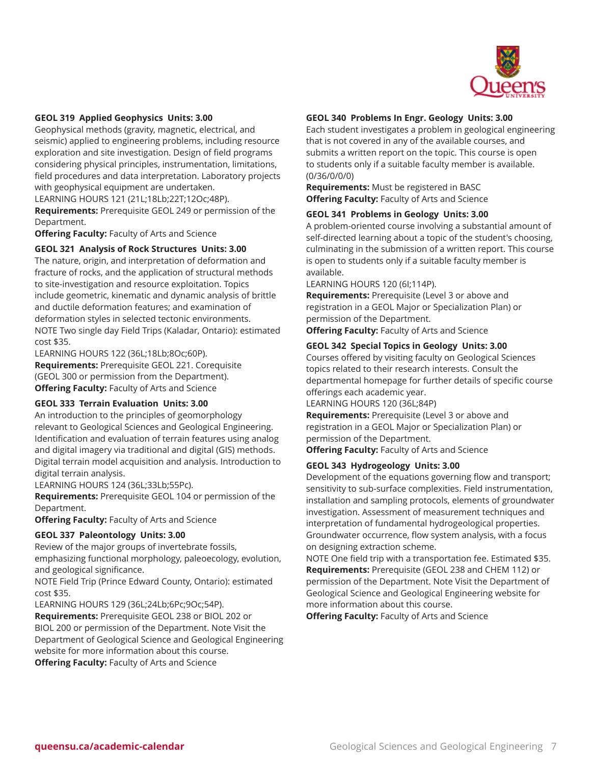

## **GEOL 319 Applied Geophysics Units: 3.00**

Geophysical methods (gravity, magnetic, electrical, and seismic) applied to engineering problems, including resource exploration and site investigation. Design of field programs considering physical principles, instrumentation, limitations, field procedures and data interpretation. Laboratory projects with geophysical equipment are undertaken.

LEARNING HOURS 121 (21L;18Lb;22T;12Oc;48P).

**Requirements:** Prerequisite GEOL 249 or permission of the Department.

**Offering Faculty:** Faculty of Arts and Science

## **GEOL 321 Analysis of Rock Structures Units: 3.00**

The nature, origin, and interpretation of deformation and fracture of rocks, and the application of structural methods to site-investigation and resource exploitation. Topics include geometric, kinematic and dynamic analysis of brittle and ductile deformation features; and examination of deformation styles in selected tectonic environments. NOTE Two single day Field Trips (Kaladar, Ontario): estimated cost \$35.

LEARNING HOURS 122 (36L;18Lb;8Oc;60P). **Requirements:** Prerequisite GEOL 221. Corequisite (GEOL 300 or permission from the Department). **Offering Faculty:** Faculty of Arts and Science

#### **GEOL 333 Terrain Evaluation Units: 3.00**

An introduction to the principles of geomorphology relevant to Geological Sciences and Geological Engineering. Identification and evaluation of terrain features using analog and digital imagery via traditional and digital (GIS) methods. Digital terrain model acquisition and analysis. Introduction to digital terrain analysis.

LEARNING HOURS 124 (36L;33Lb;55Pc).

**Requirements:** Prerequisite GEOL 104 or permission of the Department.

**Offering Faculty:** Faculty of Arts and Science

#### **GEOL 337 Paleontology Units: 3.00**

Review of the major groups of invertebrate fossils, emphasizing functional morphology, paleoecology, evolution, and geological significance.

NOTE Field Trip (Prince Edward County, Ontario): estimated cost \$35.

LEARNING HOURS 129 (36L;24Lb;6Pc;9Oc;54P).

**Requirements:** Prerequisite GEOL 238 or BIOL 202 or BIOL 200 or permission of the Department. Note Visit the Department of Geological Science and Geological Engineering website for more information about this course. **Offering Faculty:** Faculty of Arts and Science

#### **GEOL 340 Problems In Engr. Geology Units: 3.00**

Each student investigates a problem in geological engineering that is not covered in any of the available courses, and submits a written report on the topic. This course is open to students only if a suitable faculty member is available. (0/36/0/0/0)

**Requirements:** Must be registered in BASC **Offering Faculty:** Faculty of Arts and Science

#### **GEOL 341 Problems in Geology Units: 3.00**

A problem-oriented course involving a substantial amount of self-directed learning about a topic of the student's choosing, culminating in the submission of a written report. This course is open to students only if a suitable faculty member is available.

LEARNING HOURS 120 (6I;114P).

**Requirements:** Prerequisite (Level 3 or above and registration in a GEOL Major or Specialization Plan) or permission of the Department.

**Offering Faculty:** Faculty of Arts and Science

#### **GEOL 342 Special Topics in Geology Units: 3.00**

Courses offered by visiting faculty on Geological Sciences topics related to their research interests. Consult the departmental homepage for further details of specific course offerings each academic year.

LEARNING HOURS 120 (36L;84P)

**Requirements:** Prerequisite (Level 3 or above and registration in a GEOL Major or Specialization Plan) or permission of the Department.

**Offering Faculty:** Faculty of Arts and Science

#### **GEOL 343 Hydrogeology Units: 3.00**

Development of the equations governing flow and transport; sensitivity to sub-surface complexities. Field instrumentation, installation and sampling protocols, elements of groundwater investigation. Assessment of measurement techniques and interpretation of fundamental hydrogeological properties. Groundwater occurrence, flow system analysis, with a focus on designing extraction scheme.

NOTE One field trip with a transportation fee. Estimated \$35. **Requirements:** Prerequisite (GEOL 238 and CHEM 112) or permission of the Department. Note Visit the Department of Geological Science and Geological Engineering website for more information about this course.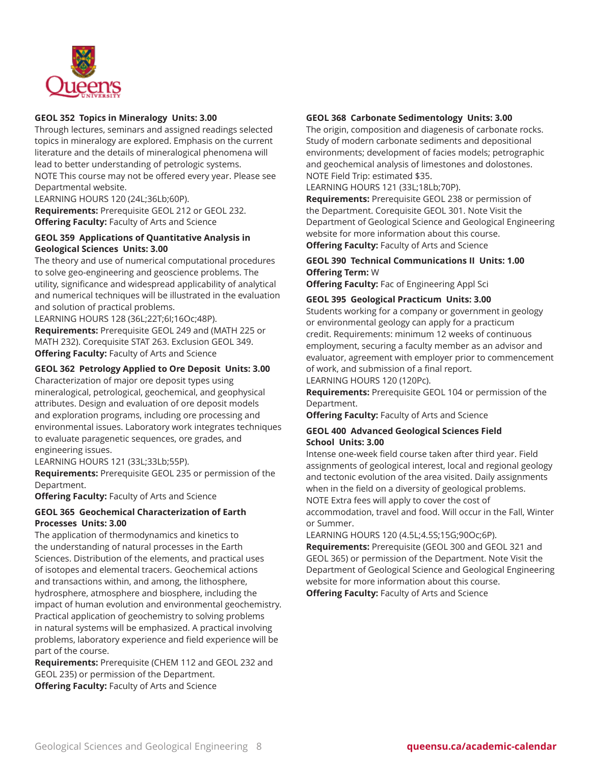

## **GEOL 352 Topics in Mineralogy Units: 3.00**

Through lectures, seminars and assigned readings selected topics in mineralogy are explored. Emphasis on the current literature and the details of mineralogical phenomena will lead to better understanding of petrologic systems. NOTE This course may not be offered every year. Please see Departmental website.

LEARNING HOURS 120 (24L;36Lb;60P). **Requirements:** Prerequisite GEOL 212 or GEOL 232. **Offering Faculty:** Faculty of Arts and Science

## **GEOL 359 Applications of Quantitative Analysis in Geological Sciences Units: 3.00**

The theory and use of numerical computational procedures to solve geo-engineering and geoscience problems. The utility, significance and widespread applicability of analytical and numerical techniques will be illustrated in the evaluation and solution of practical problems.

LEARNING HOURS 128 (36L;22T;6I;16Oc;48P). **Requirements:** Prerequisite GEOL 249 and (MATH 225 or MATH 232). Corequisite STAT 263. Exclusion GEOL 349. **Offering Faculty:** Faculty of Arts and Science

## **GEOL 362 Petrology Applied to Ore Deposit Units: 3.00**

Characterization of major ore deposit types using mineralogical, petrological, geochemical, and geophysical attributes. Design and evaluation of ore deposit models and exploration programs, including ore processing and environmental issues. Laboratory work integrates techniques to evaluate paragenetic sequences, ore grades, and engineering issues.

LEARNING HOURS 121 (33L;33Lb;55P).

**Requirements:** Prerequisite GEOL 235 or permission of the Department.

**Offering Faculty:** Faculty of Arts and Science

## **GEOL 365 Geochemical Characterization of Earth Processes Units: 3.00**

The application of thermodynamics and kinetics to the understanding of natural processes in the Earth Sciences. Distribution of the elements, and practical uses of isotopes and elemental tracers. Geochemical actions and transactions within, and among, the lithosphere, hydrosphere, atmosphere and biosphere, including the impact of human evolution and environmental geochemistry. Practical application of geochemistry to solving problems in natural systems will be emphasized. A practical involving problems, laboratory experience and field experience will be part of the course.

**Requirements:** Prerequisite (CHEM 112 and GEOL 232 and GEOL 235) or permission of the Department. **Offering Faculty:** Faculty of Arts and Science

**GEOL 368 Carbonate Sedimentology Units: 3.00**

The origin, composition and diagenesis of carbonate rocks. Study of modern carbonate sediments and depositional environments; development of facies models; petrographic and geochemical analysis of limestones and dolostones. NOTE Field Trip: estimated \$35.

LEARNING HOURS 121 (33L;18Lb;70P).

**Requirements:** Prerequisite GEOL 238 or permission of the Department. Corequisite GEOL 301. Note Visit the Department of Geological Science and Geological Engineering website for more information about this course. **Offering Faculty:** Faculty of Arts and Science

## **GEOL 390 Technical Communications II Units: 1.00 Offering Term:** W

**Offering Faculty:** Fac of Engineering Appl Sci

## **GEOL 395 Geological Practicum Units: 3.00**

Students working for a company or government in geology or environmental geology can apply for a practicum credit. Requirements: minimum 12 weeks of continuous employment, securing a faculty member as an advisor and evaluator, agreement with employer prior to commencement of work, and submission of a final report.

LEARNING HOURS 120 (120Pc).

**Requirements:** Prerequisite GEOL 104 or permission of the Department.

**Offering Faculty:** Faculty of Arts and Science

#### **GEOL 400 Advanced Geological Sciences Field School Units: 3.00**

Intense one-week field course taken after third year. Field assignments of geological interest, local and regional geology and tectonic evolution of the area visited. Daily assignments when in the field on a diversity of geological problems. NOTE Extra fees will apply to cover the cost of accommodation, travel and food. Will occur in the Fall, Winter or Summer.

LEARNING HOURS 120 (4.5L;4.5S;15G;90Oc;6P).

**Requirements:** Prerequisite (GEOL 300 and GEOL 321 and GEOL 365) or permission of the Department. Note Visit the Department of Geological Science and Geological Engineering website for more information about this course.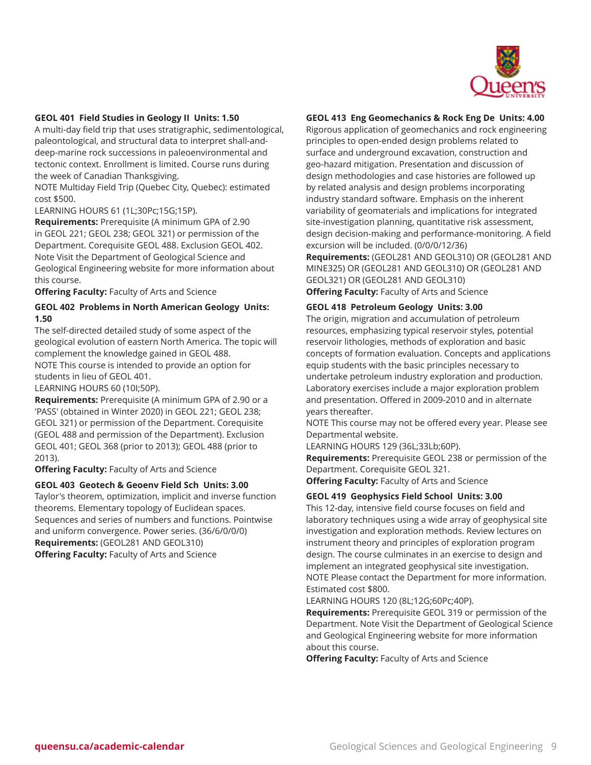

#### **GEOL 401 Field Studies in Geology II Units: 1.50**

A multi-day field trip that uses stratigraphic, sedimentological, paleontological, and structural data to interpret shall-anddeep-marine rock successions in paleoenvironmental and tectonic context. Enrollment is limited. Course runs during the week of Canadian Thanksgiving.

NOTE Multiday Field Trip (Quebec City, Quebec): estimated cost \$500.

LEARNING HOURS 61 (1L;30Pc;15G;15P).

**Requirements:** Prerequisite (A minimum GPA of 2.90 in GEOL 221; GEOL 238; GEOL 321) or permission of the Department. Corequisite GEOL 488. Exclusion GEOL 402. Note Visit the Department of Geological Science and Geological Engineering website for more information about this course.

**Offering Faculty:** Faculty of Arts and Science

## **GEOL 402 Problems in North American Geology Units: 1.50**

The self-directed detailed study of some aspect of the geological evolution of eastern North America. The topic will complement the knowledge gained in GEOL 488. NOTE This course is intended to provide an option for students in lieu of GEOL 401.

LEARNING HOURS 60 (10I;50P).

**Requirements:** Prerequisite (A minimum GPA of 2.90 or a 'PASS' (obtained in Winter 2020) in GEOL 221; GEOL 238; GEOL 321) or permission of the Department. Corequisite (GEOL 488 and permission of the Department). Exclusion GEOL 401; GEOL 368 (prior to 2013); GEOL 488 (prior to 2013).

**Offering Faculty:** Faculty of Arts and Science

#### **GEOL 403 Geotech & Geoenv Field Sch Units: 3.00**

Taylor's theorem, optimization, implicit and inverse function theorems. Elementary topology of Euclidean spaces. Sequences and series of numbers and functions. Pointwise and uniform convergence. Power series. (36/6/0/0/0) **Requirements:** (GEOL281 AND GEOL310) **Offering Faculty:** Faculty of Arts and Science

#### **GEOL 413 Eng Geomechanics & Rock Eng De Units: 4.00**

Rigorous application of geomechanics and rock engineering principles to open-ended design problems related to surface and underground excavation, construction and geo-hazard mitigation. Presentation and discussion of design methodologies and case histories are followed up by related analysis and design problems incorporating industry standard software. Emphasis on the inherent variability of geomaterials and implications for integrated site-investigation planning, quantitative risk assessment, design decision-making and performance-monitoring. A field excursion will be included. (0/0/0/12/36) **Requirements:** (GEOL281 AND GEOL310) OR (GEOL281 AND

MINE325) OR (GEOL281 AND GEOL310) OR (GEOL281 AND GEOL321) OR (GEOL281 AND GEOL310) **Offering Faculty:** Faculty of Arts and Science

## **GEOL 418 Petroleum Geology Units: 3.00**

The origin, migration and accumulation of petroleum resources, emphasizing typical reservoir styles, potential reservoir lithologies, methods of exploration and basic concepts of formation evaluation. Concepts and applications equip students with the basic principles necessary to undertake petroleum industry exploration and production. Laboratory exercises include a major exploration problem and presentation. Offered in 2009-2010 and in alternate years thereafter.

NOTE This course may not be offered every year. Please see Departmental website.

LEARNING HOURS 129 (36L;33Lb;60P).

**Requirements:** Prerequisite GEOL 238 or permission of the Department. Corequisite GEOL 321.

**Offering Faculty:** Faculty of Arts and Science

#### **GEOL 419 Geophysics Field School Units: 3.00**

This 12-day, intensive field course focuses on field and laboratory techniques using a wide array of geophysical site investigation and exploration methods. Review lectures on instrument theory and principles of exploration program design. The course culminates in an exercise to design and implement an integrated geophysical site investigation. NOTE Please contact the Department for more information. Estimated cost \$800.

#### LEARNING HOURS 120 (8L;12G;60Pc;40P).

**Requirements:** Prerequisite GEOL 319 or permission of the Department. Note Visit the Department of Geological Science and Geological Engineering website for more information about this course.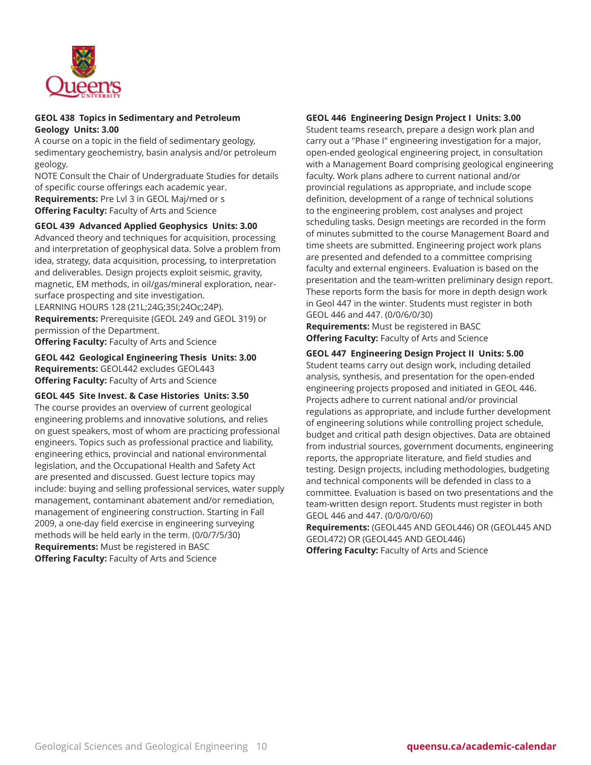

## **GEOL 438 Topics in Sedimentary and Petroleum Geology Units: 3.00**

A course on a topic in the field of sedimentary geology, sedimentary geochemistry, basin analysis and/or petroleum geology.

NOTE Consult the Chair of Undergraduate Studies for details of specific course offerings each academic year. **Requirements:** Pre Lvl 3 in GEOL Maj/med or s **Offering Faculty:** Faculty of Arts and Science

## **GEOL 439 Advanced Applied Geophysics Units: 3.00**

Advanced theory and techniques for acquisition, processing and interpretation of geophysical data. Solve a problem from idea, strategy, data acquisition, processing, to interpretation and deliverables. Design projects exploit seismic, gravity, magnetic, EM methods, in oil/gas/mineral exploration, nearsurface prospecting and site investigation. LEARNING HOURS 128 (21L;24G;35I;24Oc;24P).

**Requirements:** Prerequisite (GEOL 249 and GEOL 319) or permission of the Department.

**Offering Faculty:** Faculty of Arts and Science

**GEOL 442 Geological Engineering Thesis Units: 3.00 Requirements:** GEOL442 excludes GEOL443 **Offering Faculty:** Faculty of Arts and Science

**GEOL 445 Site Invest. & Case Histories Units: 3.50** The course provides an overview of current geological engineering problems and innovative solutions, and relies on guest speakers, most of whom are practicing professional engineers. Topics such as professional practice and liability, engineering ethics, provincial and national environmental legislation, and the Occupational Health and Safety Act are presented and discussed. Guest lecture topics may include: buying and selling professional services, water supply management, contaminant abatement and/or remediation, management of engineering construction. Starting in Fall 2009, a one-day field exercise in engineering surveying methods will be held early in the term. (0/0/7/5/30) **Requirements:** Must be registered in BASC **Offering Faculty:** Faculty of Arts and Science

## **GEOL 446 Engineering Design Project I Units: 3.00**

Student teams research, prepare a design work plan and carry out a "Phase I" engineering investigation for a major, open-ended geological engineering project, in consultation with a Management Board comprising geological engineering faculty. Work plans adhere to current national and/or provincial regulations as appropriate, and include scope definition, development of a range of technical solutions to the engineering problem, cost analyses and project scheduling tasks. Design meetings are recorded in the form of minutes submitted to the course Management Board and time sheets are submitted. Engineering project work plans are presented and defended to a committee comprising faculty and external engineers. Evaluation is based on the presentation and the team-written preliminary design report. These reports form the basis for more in depth design work in Geol 447 in the winter. Students must register in both GEOL 446 and 447. (0/0/6/0/30)

**Requirements:** Must be registered in BASC **Offering Faculty:** Faculty of Arts and Science

**GEOL 447 Engineering Design Project II Units: 5.00**

Student teams carry out design work, including detailed analysis, synthesis, and presentation for the open-ended engineering projects proposed and initiated in GEOL 446. Projects adhere to current national and/or provincial regulations as appropriate, and include further development of engineering solutions while controlling project schedule, budget and critical path design objectives. Data are obtained from industrial sources, government documents, engineering reports, the appropriate literature, and field studies and testing. Design projects, including methodologies, budgeting and technical components will be defended in class to a committee. Evaluation is based on two presentations and the team-written design report. Students must register in both GEOL 446 and 447. (0/0/0/0/60)

**Requirements:** (GEOL445 AND GEOL446) OR (GEOL445 AND GEOL472) OR (GEOL445 AND GEOL446) **Offering Faculty:** Faculty of Arts and Science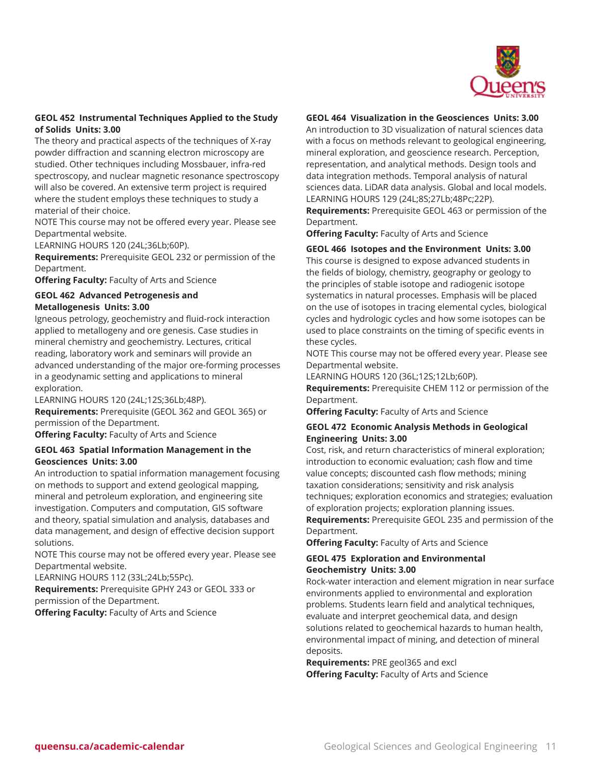

## **GEOL 452 Instrumental Techniques Applied to the Study of Solids Units: 3.00**

The theory and practical aspects of the techniques of X-ray powder diffraction and scanning electron microscopy are studied. Other techniques including Mossbauer, infra-red spectroscopy, and nuclear magnetic resonance spectroscopy will also be covered. An extensive term project is required where the student employs these techniques to study a material of their choice.

NOTE This course may not be offered every year. Please see Departmental website.

LEARNING HOURS 120 (24L;36Lb;60P).

**Requirements:** Prerequisite GEOL 232 or permission of the Department.

**Offering Faculty:** Faculty of Arts and Science

#### **GEOL 462 Advanced Petrogenesis and Metallogenesis Units: 3.00**

Igneous petrology, geochemistry and fluid-rock interaction applied to metallogeny and ore genesis. Case studies in mineral chemistry and geochemistry. Lectures, critical reading, laboratory work and seminars will provide an advanced understanding of the major ore-forming processes in a geodynamic setting and applications to mineral exploration.

LEARNING HOURS 120 (24L;12S;36Lb;48P). **Requirements:** Prerequisite (GEOL 362 and GEOL 365) or permission of the Department.

**Offering Faculty:** Faculty of Arts and Science

## **GEOL 463 Spatial Information Management in the Geosciences Units: 3.00**

An introduction to spatial information management focusing on methods to support and extend geological mapping, mineral and petroleum exploration, and engineering site investigation. Computers and computation, GIS software and theory, spatial simulation and analysis, databases and data management, and design of effective decision support solutions.

NOTE This course may not be offered every year. Please see Departmental website.

LEARNING HOURS 112 (33L;24Lb;55Pc).

**Requirements:** Prerequisite GPHY 243 or GEOL 333 or permission of the Department.

**Offering Faculty:** Faculty of Arts and Science

## **GEOL 464 Visualization in the Geosciences Units: 3.00**

An introduction to 3D visualization of natural sciences data with a focus on methods relevant to geological engineering, mineral exploration, and geoscience research. Perception, representation, and analytical methods. Design tools and data integration methods. Temporal analysis of natural sciences data. LiDAR data analysis. Global and local models. LEARNING HOURS 129 (24L;8S;27Lb;48Pc;22P).

**Requirements:** Prerequisite GEOL 463 or permission of the Department.

**Offering Faculty:** Faculty of Arts and Science

## **GEOL 466 Isotopes and the Environment Units: 3.00**

This course is designed to expose advanced students in the fields of biology, chemistry, geography or geology to the principles of stable isotope and radiogenic isotope systematics in natural processes. Emphasis will be placed on the use of isotopes in tracing elemental cycles, biological cycles and hydrologic cycles and how some isotopes can be used to place constraints on the timing of specific events in these cycles.

NOTE This course may not be offered every year. Please see Departmental website.

LEARNING HOURS 120 (36L;12S;12Lb;60P).

**Requirements:** Prerequisite CHEM 112 or permission of the Department.

**Offering Faculty:** Faculty of Arts and Science

## **GEOL 472 Economic Analysis Methods in Geological Engineering Units: 3.00**

Cost, risk, and return characteristics of mineral exploration; introduction to economic evaluation; cash flow and time value concepts; discounted cash flow methods; mining taxation considerations; sensitivity and risk analysis techniques; exploration economics and strategies; evaluation of exploration projects; exploration planning issues.

**Requirements:** Prerequisite GEOL 235 and permission of the Department.

**Offering Faculty:** Faculty of Arts and Science

#### **GEOL 475 Exploration and Environmental Geochemistry Units: 3.00**

Rock-water interaction and element migration in near surface environments applied to environmental and exploration problems. Students learn field and analytical techniques, evaluate and interpret geochemical data, and design solutions related to geochemical hazards to human health, environmental impact of mining, and detection of mineral deposits.

**Requirements:** PRE geol365 and excl **Offering Faculty:** Faculty of Arts and Science